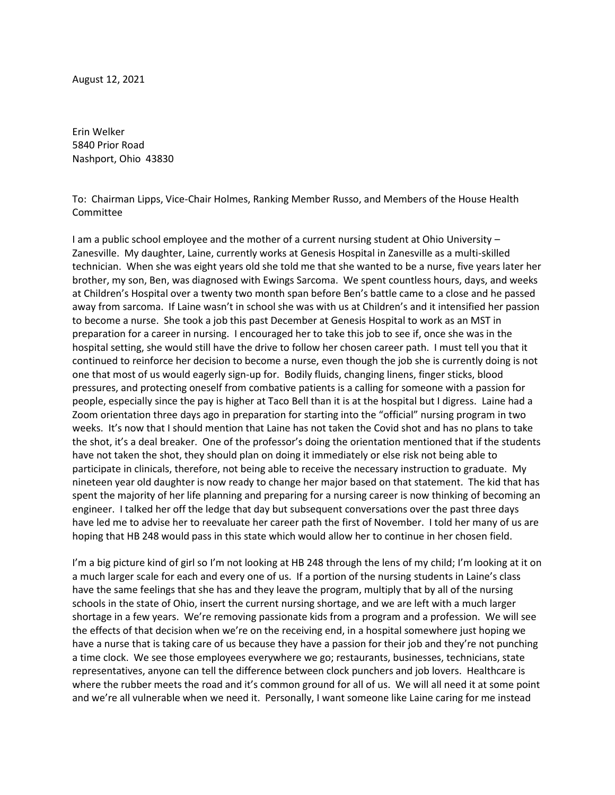August 12, 2021

Erin Welker 5840 Prior Road Nashport, Ohio 43830

To: Chairman Lipps, Vice-Chair Holmes, Ranking Member Russo, and Members of the House Health **Committee** 

I am a public school employee and the mother of a current nursing student at Ohio University – Zanesville. My daughter, Laine, currently works at Genesis Hospital in Zanesville as a multi-skilled technician. When she was eight years old she told me that she wanted to be a nurse, five years later her brother, my son, Ben, was diagnosed with Ewings Sarcoma. We spent countless hours, days, and weeks at Children's Hospital over a twenty two month span before Ben's battle came to a close and he passed away from sarcoma. If Laine wasn't in school she was with us at Children's and it intensified her passion to become a nurse. She took a job this past December at Genesis Hospital to work as an MST in preparation for a career in nursing. I encouraged her to take this job to see if, once she was in the hospital setting, she would still have the drive to follow her chosen career path. I must tell you that it continued to reinforce her decision to become a nurse, even though the job she is currently doing is not one that most of us would eagerly sign-up for. Bodily fluids, changing linens, finger sticks, blood pressures, and protecting oneself from combative patients is a calling for someone with a passion for people, especially since the pay is higher at Taco Bell than it is at the hospital but I digress. Laine had a Zoom orientation three days ago in preparation for starting into the "official" nursing program in two weeks. It's now that I should mention that Laine has not taken the Covid shot and has no plans to take the shot, it's a deal breaker. One of the professor's doing the orientation mentioned that if the students have not taken the shot, they should plan on doing it immediately or else risk not being able to participate in clinicals, therefore, not being able to receive the necessary instruction to graduate. My nineteen year old daughter is now ready to change her major based on that statement. The kid that has spent the majority of her life planning and preparing for a nursing career is now thinking of becoming an engineer. I talked her off the ledge that day but subsequent conversations over the past three days have led me to advise her to reevaluate her career path the first of November. I told her many of us are hoping that HB 248 would pass in this state which would allow her to continue in her chosen field.

I'm a big picture kind of girl so I'm not looking at HB 248 through the lens of my child; I'm looking at it on a much larger scale for each and every one of us. If a portion of the nursing students in Laine's class have the same feelings that she has and they leave the program, multiply that by all of the nursing schools in the state of Ohio, insert the current nursing shortage, and we are left with a much larger shortage in a few years. We're removing passionate kids from a program and a profession. We will see the effects of that decision when we're on the receiving end, in a hospital somewhere just hoping we have a nurse that is taking care of us because they have a passion for their job and they're not punching a time clock. We see those employees everywhere we go; restaurants, businesses, technicians, state representatives, anyone can tell the difference between clock punchers and job lovers. Healthcare is where the rubber meets the road and it's common ground for all of us. We will all need it at some point and we're all vulnerable when we need it. Personally, I want someone like Laine caring for me instead